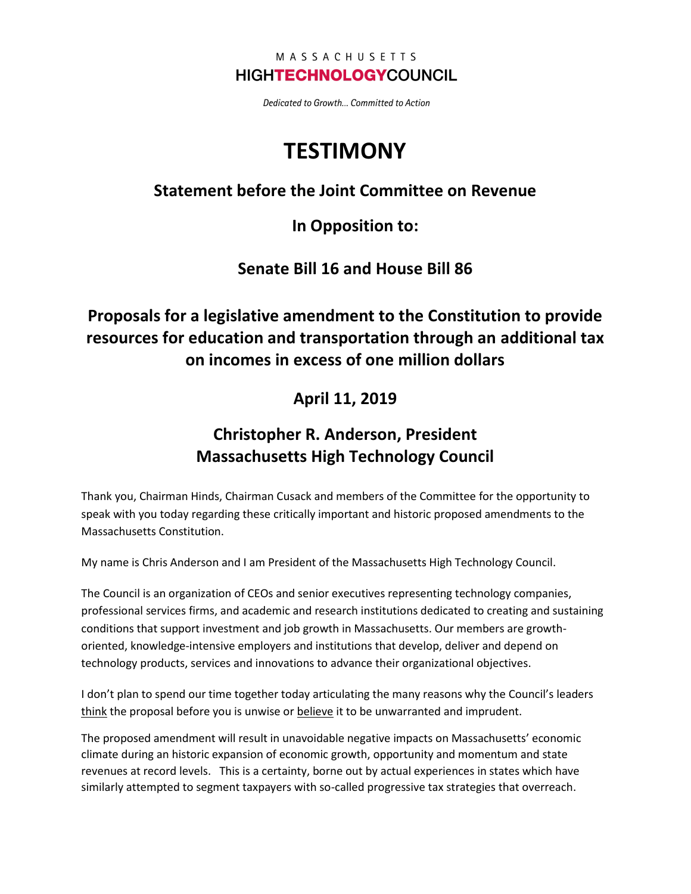#### MASSACHUSETTS **HIGHTECHNOLOGYCOUNCIL**

Dedicated to Growth... Committed to Action

# **TESTIMONY**

#### **Statement before the Joint Committee on Revenue**

**In Opposition to:**

**Senate Bill 16 and House Bill 86**

# **Proposals for a legislative amendment to the Constitution to provide resources for education and transportation through an additional tax on incomes in excess of one million dollars**

### **April 11, 2019**

# **Christopher R. Anderson, President Massachusetts High Technology Council**

Thank you, Chairman Hinds, Chairman Cusack and members of the Committee for the opportunity to speak with you today regarding these critically important and historic proposed amendments to the Massachusetts Constitution.

My name is Chris Anderson and I am President of the Massachusetts High Technology Council.

The Council is an organization of CEOs and senior executives representing technology companies, professional services firms, and academic and research institutions dedicated to creating and sustaining conditions that support investment and job growth in Massachusetts. Our members are growthoriented, knowledge-intensive employers and institutions that develop, deliver and depend on technology products, services and innovations to advance their organizational objectives.

I don't plan to spend our time together today articulating the many reasons why the Council's leaders think the proposal before you is unwise or believe it to be unwarranted and imprudent.

The proposed amendment will result in unavoidable negative impacts on Massachusetts' economic climate during an historic expansion of economic growth, opportunity and momentum and state revenues at record levels. This is a certainty, borne out by actual experiences in states which have similarly attempted to segment taxpayers with so-called progressive tax strategies that overreach.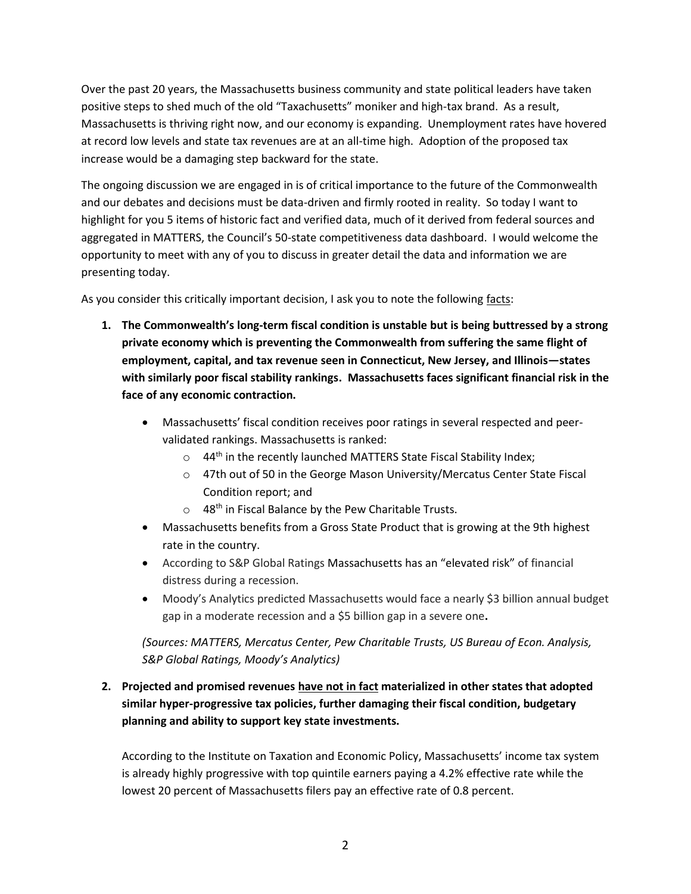Over the past 20 years, the Massachusetts business community and state political leaders have taken positive steps to shed much of the old "Taxachusetts" moniker and high-tax brand. As a result, Massachusetts is thriving right now, and our economy is expanding. Unemployment rates have hovered at record low levels and state tax revenues are at an all-time high. Adoption of the proposed tax increase would be a damaging step backward for the state.

The ongoing discussion we are engaged in is of critical importance to the future of the Commonwealth and our debates and decisions must be data-driven and firmly rooted in reality. So today I want to highlight for you 5 items of historic fact and verified data, much of it derived from federal sources and aggregated in MATTERS, the Council's 50-state competitiveness data dashboard. I would welcome the opportunity to meet with any of you to discuss in greater detail the data and information we are presenting today.

As you consider this critically important decision, I ask you to note the following facts:

- **1. The Commonwealth's long-term fiscal condition is unstable but is being buttressed by a strong private economy which is preventing the Commonwealth from suffering the same flight of employment, capital, and tax revenue seen in Connecticut, New Jersey, and Illinois—states with similarly poor fiscal stability rankings. Massachusetts faces significant financial risk in the face of any economic contraction.**
	- Massachusetts' fiscal condition receives poor ratings in several respected and peervalidated rankings. Massachusetts is ranked:
		- $\circ$  44<sup>th</sup> in the recently launched MATTERS State Fiscal Stability Index;
		- o 47th out of 50 in the George Mason University/Mercatus Center State Fiscal Condition report; and
		- $\circ$  48<sup>th</sup> in Fiscal Balance by the Pew Charitable Trusts.
	- Massachusetts benefits from a Gross State Product that is growing at the 9th highest rate in the country.
	- According to S&P Global Ratings Massachusetts has an "elevated risk" of financial distress during a recession.
	- Moody's Analytics predicted Massachusetts would face a nearly \$3 billion annual budget gap in a moderate recession and a \$5 billion gap in a severe one**.**

*(Sources: MATTERS, Mercatus Center, Pew Charitable Trusts, US Bureau of Econ. Analysis, S&P Global Ratings, Moody's Analytics)*

#### **2. Projected and promised revenues have not in fact materialized in other states that adopted similar hyper-progressive tax policies, further damaging their fiscal condition, budgetary planning and ability to support key state investments.**

According to the Institute on Taxation and Economic Policy, Massachusetts' income tax system is already highly progressive with top quintile earners paying a 4.2% effective rate while the lowest 20 percent of Massachusetts filers pay an effective rate of 0.8 percent.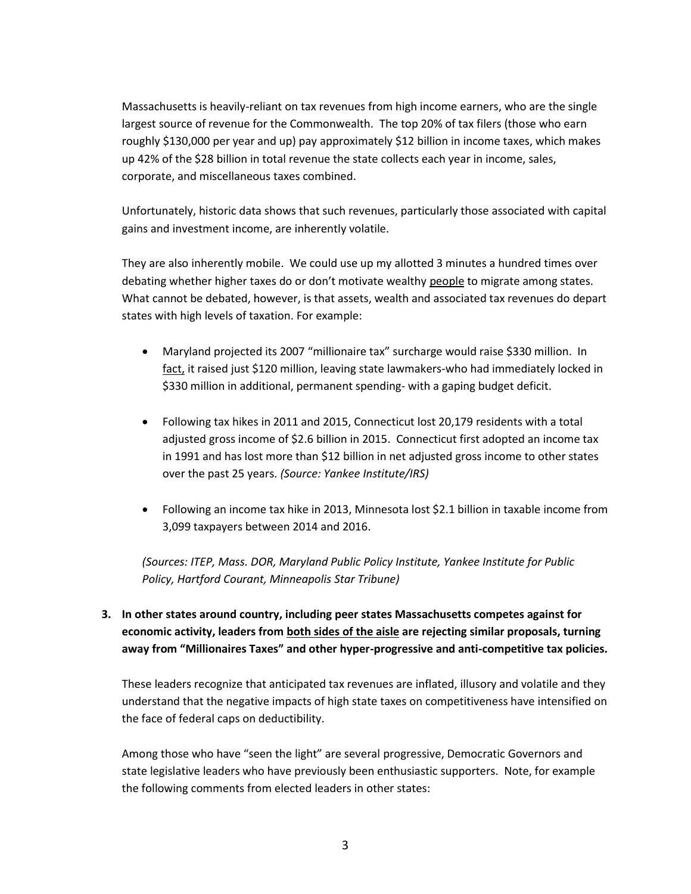Massachusetts is heavily-reliant on tax revenues from high income earners, who are the single largest source of revenue for the Commonwealth. The top 20% of tax filers (those who earn roughly \$130,000 per year and up) pay approximately \$12 billion in income taxes, which makes up 42% of the \$28 billion in total revenue the state collects each year in income, sales, corporate, and miscellaneous taxes combined.

Unfortunately, historic data shows that such revenues, particularly those associated with capital gains and investment income, are inherently volatile.

They are also inherently mobile. We could use up my allotted 3 minutes a hundred times over debating whether higher taxes do or don't motivate wealthy people to migrate among states. What cannot be debated, however, is that assets, wealth and associated tax revenues do depart states with high levels of taxation. For example:

- Maryland projected its 2007 "millionaire tax" surcharge would raise \$330 million. In fact, it raised just \$120 million, leaving state lawmakers-who had immediately locked in \$330 million in additional, permanent spending- with a gaping budget deficit.
- Following tax hikes in 2011 and 2015, Connecticut lost 20,179 residents with a total adjusted gross income of \$2.6 billion in 2015. Connecticut first adopted an income tax in 1991 and has lost more than \$12 billion in net adjusted gross income to other states over the past 25 years. *(Source: Yankee Institute/IRS)*
- Following an income tax hike in 2013, Minnesota lost \$2.1 billion in taxable income from 3,099 taxpayers between 2014 and 2016.

*(Sources: ITEP, Mass. DOR, Maryland Public Policy Institute, Yankee Institute for Public Policy, Hartford Courant, Minneapolis Star Tribune)*

#### **3. In other states around country, including peer states Massachusetts competes against for economic activity, leaders from both sides of the aisle are rejecting similar proposals, turning away from "Millionaires Taxes" and other hyper-progressive and anti-competitive tax policies.**

These leaders recognize that anticipated tax revenues are inflated, illusory and volatile and they understand that the negative impacts of high state taxes on competitiveness have intensified on the face of federal caps on deductibility.

Among those who have "seen the light" are several progressive, Democratic Governors and state legislative leaders who have previously been enthusiastic supporters. Note, for example the following comments from elected leaders in other states: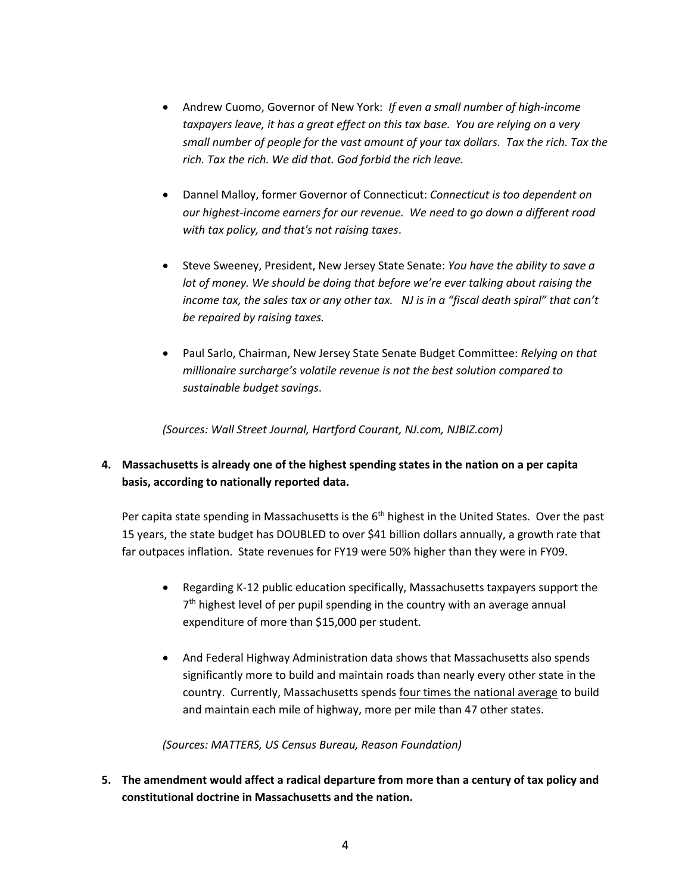- Andrew Cuomo, Governor of New York: *If even a small number of high-income taxpayers leave, it has a great effect on this tax base. You are relying on a very small number of people for the vast amount of your tax dollars. Tax the rich. Tax the rich. Tax the rich. We did that. God forbid the rich leave.*
- Dannel Malloy, former Governor of Connecticut: *Connecticut is too dependent on our highest-income earners for our revenue. We need to go down a different road with tax policy, and that's not raising taxes*.
- Steve Sweeney, President, New Jersey State Senate: *You have the ability to save a lot of money. We should be doing that before we're ever talking about raising the income tax, the sales tax or any other tax. NJ is in a "fiscal death spiral" that can't be repaired by raising taxes.*
- Paul Sarlo, Chairman, New Jersey State Senate Budget Committee: *Relying on that millionaire surcharge's volatile revenue is not the best solution compared to sustainable budget savings*.

*(Sources: Wall Street Journal, Hartford Courant, NJ.com, NJBIZ.com)*

**4. Massachusetts is already one of the highest spending states in the nation on a per capita basis, according to nationally reported data.**

Per capita state spending in Massachusetts is the 6<sup>th</sup> highest in the United States. Over the past 15 years, the state budget has DOUBLED to over \$41 billion dollars annually, a growth rate that far outpaces inflation. State revenues for FY19 were 50% higher than they were in FY09.

- Regarding K-12 public education specifically, Massachusetts taxpayers support the 7<sup>th</sup> highest level of per pupil spending in the country with an average annual expenditure of more than \$15,000 per student.
- And Federal Highway Administration data shows that Massachusetts also spends significantly more to build and maintain roads than nearly every other state in the country. Currently, Massachusetts spends four times the national average to build and maintain each mile of highway, more per mile than 47 other states.

*(Sources: MATTERS, US Census Bureau, Reason Foundation)*

**5. The amendment would affect a radical departure from more than a century of tax policy and constitutional doctrine in Massachusetts and the nation.**